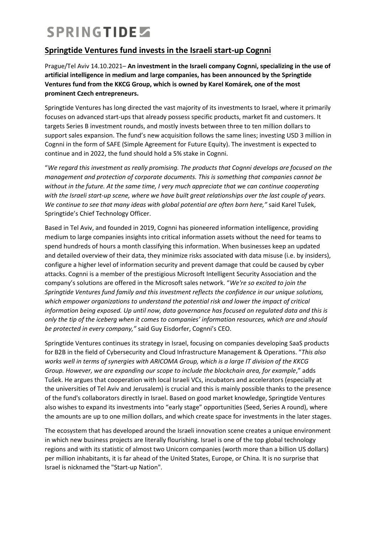## SPRINGTIDE

### **Springtide Ventures fund invests in the Israeli start-up Cognni**

Prague/Tel Aviv 14.10.2021– **An investment in the Israeli company Cognni, specializing in the use of artificial intelligence in medium and large companies, has been announced by the Springtide Ventures fund from the KKCG Group, which is owned by Karel Komárek, one of the most prominent Czech entrepreneurs.**

Springtide Ventures has long directed the vast majority of its investments to Israel, where it primarily focuses on advanced start-ups that already possess specific products, market fit and customers. It targets Series B investment rounds, and mostly invests between three to ten million dollars to support sales expansion. The fund's new acquisition follows the same lines; investing USD 3 million in Cognni in the form of SAFE (Simple Agreement for Future Equity). The investment is expected to continue and in 2022, the fund should hold a 5% stake in Cognni.

"*We regard this investment as really promising. The products that Cognni develops are focused on the management and protection of corporate documents. This is something that companies cannot be without in the future. At the same time, I very much appreciate that we can continue cooperating with the Israeli start-up scene, where we have built great relationships over the last couple of years. We continue to see that many ideas with global potential are often born here,"* said Karel Tušek, Springtide's Chief Technology Officer.

Based in Tel Aviv, and founded in 2019, Cognni has pioneered information intelligence, providing medium to large companies insights into critical information assets without the need for teams to spend hundreds of hours a month classifying this information. When businesses keep an updated and detailed overview of their data, they minimize risks associated with data misuse (i.e. by insiders), configure a higher level of information security and prevent damage that could be caused by cyber attacks. Cognni is a member of the prestigious Microsoft Intelligent Security Association and the company's solutions are offered in the Microsoft sales network. "*We're so excited to join the Springtide Ventures fund family and this investment reflects the confidence in our unique solutions, which empower organizations to understand the potential risk and lower the impact of critical information being exposed. Up until now, data governance has focused on regulated data and this is only the tip of the iceberg when it comes to companies' information resources, which are and should be protected in every company,"* said Guy Eisdorfer, Cognni's CEO.

Springtide Ventures continues its strategy in Israel, focusing on companies developing SaaS products for B2B in the field of Cybersecurity and Cloud Infrastructure Management & Operations. "*This also works well in terms of synergies with ARICOMA Group, which is a large IT division of the KKCG Group. However, we are expanding our scope to include the blockchain area, for example*," adds Tušek. He argues that cooperation with local Israeli VCs, incubators and accelerators (especially at the universities of Tel Aviv and Jerusalem) is crucial and this is mainly possible thanks to the presence of the fund's collaborators directly in Israel. Based on good market knowledge, Springtide Ventures also wishes to expand its investments into "early stage" opportunities (Seed, Series A round), where the amounts are up to one million dollars, and which create space for investments in the later stages.

The ecosystem that has developed around the Israeli innovation scene creates a unique environment in which new business projects are literally flourishing. Israel is one of the top global technology regions and with its statistic of almost two Unicorn companies (worth more than a billion US dollars) per million inhabitants, it is far ahead of the United States, Europe, or China. It is no surprise that Israel is nicknamed the "Start-up Nation".